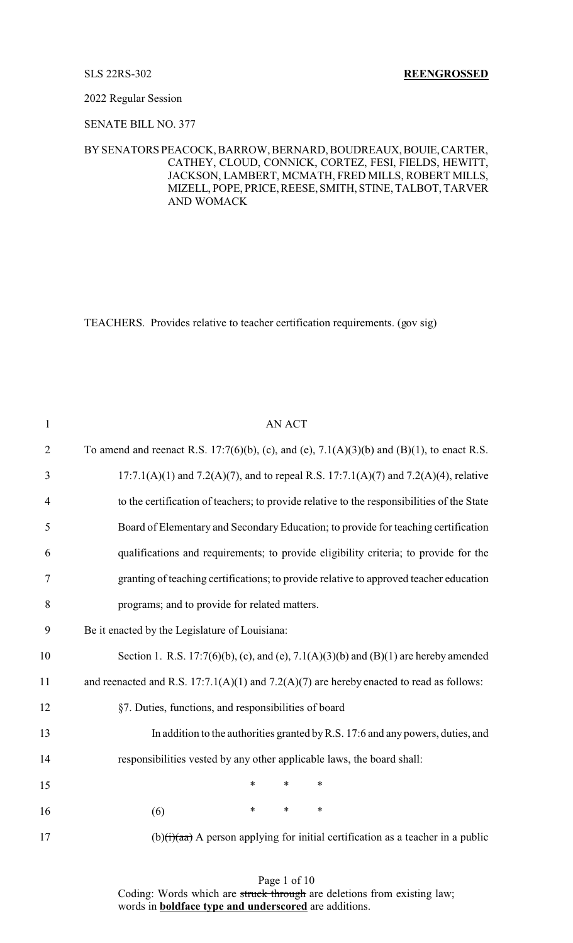## 2022 Regular Session

# SENATE BILL NO. 377

## BYSENATORS PEACOCK, BARROW, BERNARD, BOUDREAUX,BOUIE,CARTER, CATHEY, CLOUD, CONNICK, CORTEZ, FESI, FIELDS, HEWITT, JACKSON, LAMBERT, MCMATH, FRED MILLS, ROBERT MILLS, MIZELL, POPE, PRICE, REESE, SMITH, STINE, TALBOT, TARVER AND WOMACK

TEACHERS. Provides relative to teacher certification requirements. (gov sig)

| $\mathbf{1}$   | <b>AN ACT</b>                                                                                             |
|----------------|-----------------------------------------------------------------------------------------------------------|
| $\overline{2}$ | To amend and reenact R.S. 17:7(6)(b), (c), and (e), 7.1(A)(3)(b) and (B)(1), to enact R.S.                |
| $\mathfrak{Z}$ | $17:7.1(A)(1)$ and $7.2(A)(7)$ , and to repeal R.S. $17:7.1(A)(7)$ and $7.2(A)(4)$ , relative             |
| $\overline{4}$ | to the certification of teachers; to provide relative to the responsibilities of the State                |
| 5              | Board of Elementary and Secondary Education; to provide for teaching certification                        |
| 6              | qualifications and requirements; to provide eligibility criteria; to provide for the                      |
| $\tau$         | granting of teaching certifications; to provide relative to approved teacher education                    |
| 8              | programs; and to provide for related matters.                                                             |
| 9              | Be it enacted by the Legislature of Louisiana:                                                            |
| 10             | Section 1. R.S. 17:7(6)(b), (c), and (e), 7.1(A)(3)(b) and (B)(1) are hereby amended                      |
| 11             | and reenacted and R.S. $17:7.1(A)(1)$ and $7.2(A)(7)$ are hereby enacted to read as follows:              |
| 12             | §7. Duties, functions, and responsibilities of board                                                      |
| 13             | In addition to the authorities granted by R.S. 17:6 and any powers, duties, and                           |
| 14             | responsibilities vested by any other applicable laws, the board shall:                                    |
| 15             | $\ast$<br>$\ast$<br>$\ast$                                                                                |
| 16             | $\ast$<br>$\ast$<br>$\ast$<br>(6)                                                                         |
| 17             | $(b)(\mathbf{i})$ (b) $(\mathbf{i})$ A person applying for initial certification as a teacher in a public |
|                |                                                                                                           |

Page 1 of 10 Coding: Words which are struck through are deletions from existing law; words in **boldface type and underscored** are additions.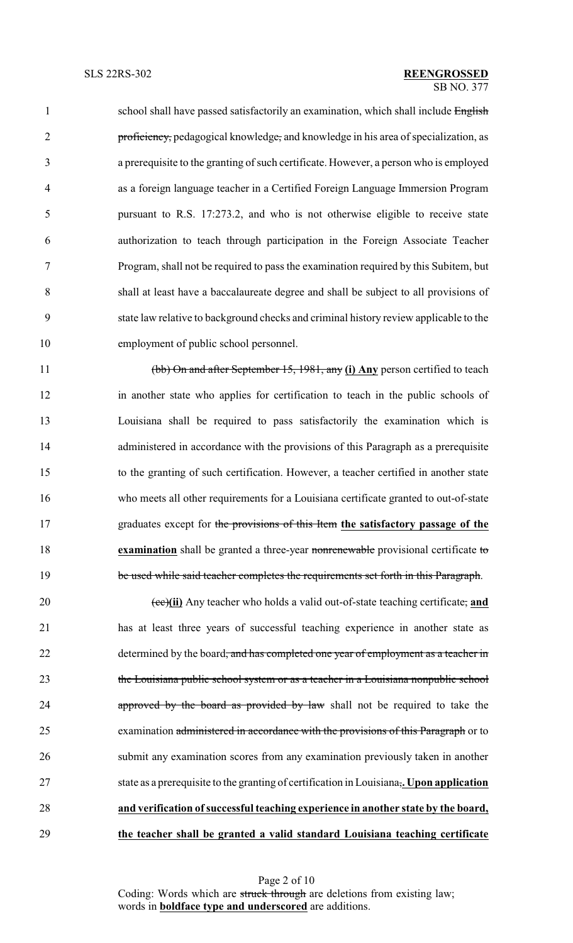1 school shall have passed satisfactorily an examination, which shall include English 2 proficiency, pedagogical knowledge, and knowledge in his area of specialization, as a prerequisite to the granting of such certificate. However, a person who is employed as a foreign language teacher in a Certified Foreign Language Immersion Program pursuant to R.S. 17:273.2, and who is not otherwise eligible to receive state authorization to teach through participation in the Foreign Associate Teacher Program, shall not be required to pass the examination required by this Subitem, but shall at least have a baccalaureate degree and shall be subject to all provisions of state law relative to background checks and criminal history review applicable to the employment of public school personnel.

 (bb) On and after September 15, 1981, any **(i) Any** person certified to teach in another state who applies for certification to teach in the public schools of Louisiana shall be required to pass satisfactorily the examination which is 14 administered in accordance with the provisions of this Paragraph as a prerequisite to the granting of such certification. However, a teacher certified in another state who meets all other requirements for a Louisiana certificate granted to out-of-state graduates except for the provisions of this Item **the satisfactory passage of the examination** shall be granted a three-year nonrenewable provisional certificate to 19 be used while said teacher completes the requirements set forth in this Paragraph.

20 (ee)(ii) Any teacher who holds a valid out-of-state teaching certificate, and has at least three years of successful teaching experience in another state as 22 determined by the board, and has completed one year of employment as a teacher in the Louisiana public school system or as a teacher in a Louisiana nonpublic school **approved by the board as provided by law** shall not be required to take the 25 examination administered in accordance with the provisions of this Paragraph or to submit any examination scores from any examination previously taken in another state as a prerequisite to the granting of certification in Louisiana,**. Upon application and verification ofsuccessful teaching experience in another state by the board, the teacher shall be granted a valid standard Louisiana teaching certificate**

> Page 2 of 10 Coding: Words which are struck through are deletions from existing law; words in **boldface type and underscored** are additions.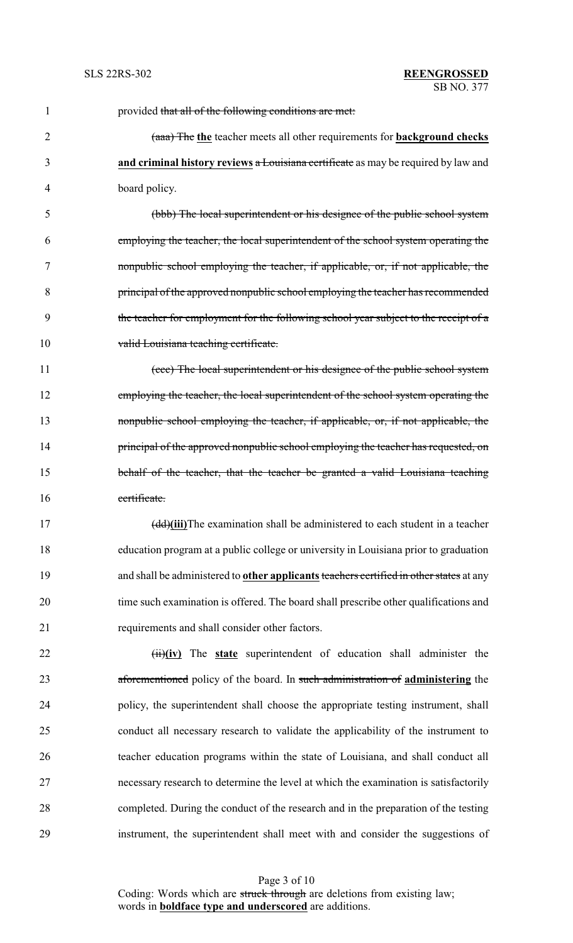| $\mathbf{1}$   | provided that all of the following conditions are met.                                         |
|----------------|------------------------------------------------------------------------------------------------|
| $\overline{2}$ | (aaa) The the teacher meets all other requirements for <b>background checks</b>                |
| 3              | and criminal history reviews a Louisiana certificate as may be required by law and             |
| 4              | board policy.                                                                                  |
| 5              | (bbb) The local superintendent or his designee of the public school system                     |
| 6              | employing the teacher, the local superintendent of the school system operating the             |
| 7              | nonpublic school employing the teacher, if applicable, or, if not applicable, the              |
| 8              | principal of the approved nonpublic school employing the teacher has recommended               |
| 9              | the teacher for employment for the following school year subject to the receipt of a           |
| 10             | valid Louisiana teaching certificate.                                                          |
| 11             | (ccc) The local superintendent or his designee of the public school system                     |
| 12             | employing the teacher, the local superintendent of the school system operating the             |
| 13             | nonpublic school employing the teacher, if applicable, or, if not applicable, the              |
| 14             | principal of the approved nonpublic school employing the teacher has requested, on             |
| 15             | behalf of the teacher, that the teacher be granted a valid Louisiana teaching                  |
| 16             | certificate.                                                                                   |
| 17             | (dd)(iii)The examination shall be administered to each student in a teacher                    |
| 18             | education program at a public college or university in Louisiana prior to graduation           |
| 19             | and shall be administered to <b>other applicants</b> teachers certified in other states at any |
| 20             | time such examination is offered. The board shall prescribe other qualifications and           |
| 21             | requirements and shall consider other factors.                                                 |
| 22             | $(i)$ $(i)$ The state superintendent of education shall administer the                         |
| 23             | aforementioned policy of the board. In such administration of administering the                |
| 24             | policy, the superintendent shall choose the appropriate testing instrument, shall              |
| 25             | conduct all necessary research to validate the applicability of the instrument to              |
| 26             | teacher education programs within the state of Louisiana, and shall conduct all                |
| 27             | necessary research to determine the level at which the examination is satisfactorily           |
| 28             | completed. During the conduct of the research and in the preparation of the testing            |
| 29             | instrument, the superintendent shall meet with and consider the suggestions of                 |

Page 3 of 10 Coding: Words which are struck through are deletions from existing law; words in **boldface type and underscored** are additions.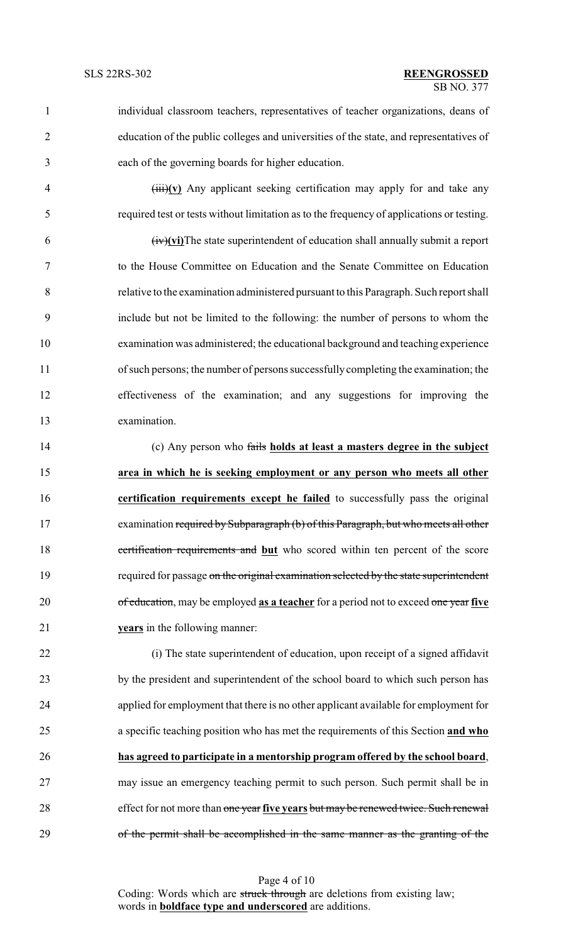- individual classroom teachers, representatives of teacher organizations, deans of education of the public colleges and universities of the state, and representatives of each of the governing boards for higher education.
	-

 (iii)**(v)** Any applicant seeking certification may apply for and take any required test or tests without limitation as to the frequency of applications or testing.

 (iv)**(vi)**The state superintendent of education shall annually submit a report to the House Committee on Education and the Senate Committee on Education relative to the examination administered pursuant to this Paragraph. Such report shall include but not be limited to the following: the number of persons to whom the examination was administered; the educational background and teaching experience of such persons; the number of persons successfullycompleting the examination; the effectiveness of the examination; and any suggestions for improving the examination.

 (c) Any person who fails **holds at least a masters degree in the subject area in which he is seeking employment or any person who meets all other certification requirements except he failed** to successfully pass the original examination required by Subparagraph (b) of this Paragraph, but who meets all other certification requirements and **but** who scored within ten percent of the score 19 required for passage on the original examination selected by the state superintendent of education, may be employed **as a teacher** for a period not to exceed one year **five years** in the following manner:

 (i) The state superintendent of education, upon receipt of a signed affidavit by the president and superintendent of the school board to which such person has applied for employment that there is no other applicant available for employment for a specific teaching position who has met the requirements of this Section **and who has agreed to participate in a mentorship program offered by the school board**, may issue an emergency teaching permit to such person. Such permit shall be in effect for not more than one year **five years** but may be renewed twice. Such renewal of the permit shall be accomplished in the same manner as the granting of the

> Page 4 of 10 Coding: Words which are struck through are deletions from existing law; words in **boldface type and underscored** are additions.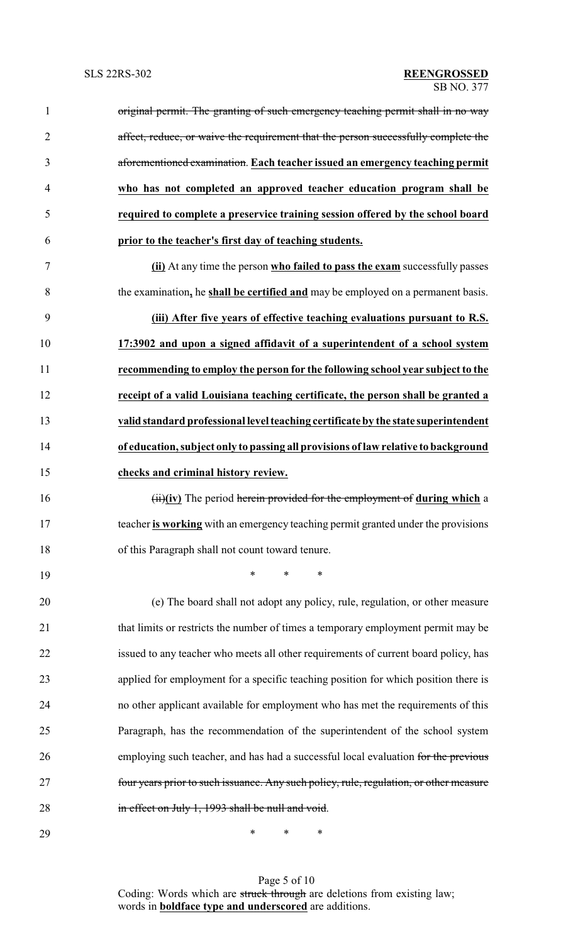| $\mathbf{1}$   | original permit. The granting of such emergency teaching permit shall in no way        |
|----------------|----------------------------------------------------------------------------------------|
| $\overline{2}$ | affect, reduce, or waive the requirement that the person successfully complete the     |
| 3              | aforementioned examination. Each teacher issued an emergency teaching permit           |
| 4              | who has not completed an approved teacher education program shall be                   |
| 5              | required to complete a preservice training session offered by the school board         |
| 6              | prior to the teacher's first day of teaching students.                                 |
| $\tau$         | (ii) At any time the person who failed to pass the exam successfully passes            |
| 8              | the examination, he shall be certified and may be employed on a permanent basis.       |
| 9              | (iii) After five years of effective teaching evaluations pursuant to R.S.              |
| 10             | 17:3902 and upon a signed affidavit of a superintendent of a school system             |
| 11             | recommending to employ the person for the following school year subject to the         |
| 12             | receipt of a valid Louisiana teaching certificate, the person shall be granted a       |
| 13             | valid standard professional level teaching certificate by the state superintendent     |
| 14             | of education, subject only to passing all provisions of law relative to background     |
| 15             | checks and criminal history review.                                                    |
| 16             | $(iii)(iv)$ The period herein provided for the employment of during which a            |
| 17             | teacher is working with an emergency teaching permit granted under the provisions      |
| 18             | of this Paragraph shall not count toward tenure.                                       |
| 19             | ∗<br>*<br>∗                                                                            |
| 20             | (e) The board shall not adopt any policy, rule, regulation, or other measure           |
| 21             | that limits or restricts the number of times a temporary employment permit may be      |
| 22             | issued to any teacher who meets all other requirements of current board policy, has    |
| 23             | applied for employment for a specific teaching position for which position there is    |
| 24             | no other applicant available for employment who has met the requirements of this       |
| 25             | Paragraph, has the recommendation of the superintendent of the school system           |
| 26             | employing such teacher, and has had a successful local evaluation for the previous     |
| 27             | four years prior to such issuance. Any such policy, rule, regulation, or other measure |
| 28             | in effect on July 1, 1993 shall be null and void.                                      |
| 29             | ∗<br>∗<br>∗                                                                            |

Page 5 of 10 Coding: Words which are struck through are deletions from existing law; words in **boldface type and underscored** are additions.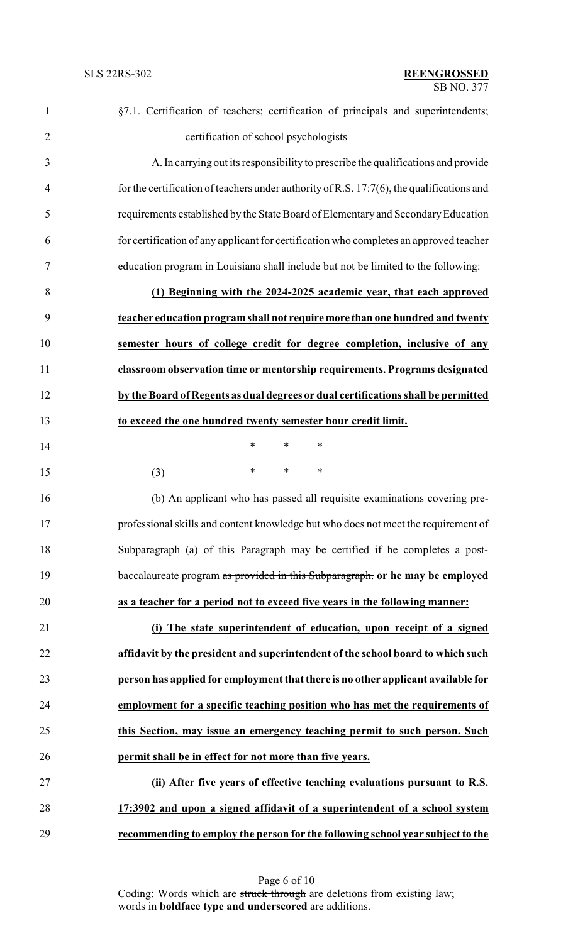| $\mathbf{1}$   | §7.1. Certification of teachers; certification of principals and superintendents;            |
|----------------|----------------------------------------------------------------------------------------------|
| $\overline{2}$ | certification of school psychologists                                                        |
| 3              | A. In carrying out its responsibility to prescribe the qualifications and provide            |
| $\overline{4}$ | for the certification of teachers under authority of R.S. $17:7(6)$ , the qualifications and |
| 5              | requirements established by the State Board of Elementary and Secondary Education            |
| 6              | for certification of any applicant for certification who completes an approved teacher       |
| $\tau$         | education program in Louisiana shall include but not be limited to the following:            |
| 8              | (1) Beginning with the 2024-2025 academic year, that each approved                           |
| 9              | teacher education program shall not require more than one hundred and twenty                 |
| 10             | semester hours of college credit for degree completion, inclusive of any                     |
| 11             | classroom observation time or mentorship requirements. Programs designated                   |
| 12             | by the Board of Regents as dual degrees or dual certifications shall be permitted            |
| 13             | to exceed the one hundred twenty semester hour credit limit.                                 |
| 14             | $\ast$<br>$\ast$<br>∗                                                                        |
| 15             | $\ast$<br>∗<br>∗<br>(3)                                                                      |
| 16             | (b) An applicant who has passed all requisite examinations covering pre-                     |
| 17             | professional skills and content knowledge but who does not meet the requirement of           |
| 18             | Subparagraph (a) of this Paragraph may be certified if he completes a post-                  |
| 19             | baccalaureate program as provided in this Subparagraph. or he may be employed                |
| 20             | as a teacher for a period not to exceed five years in the following manner:                  |
| 21             | (i) The state superintendent of education, upon receipt of a signed                          |
| 22             | affidavit by the president and superintendent of the school board to which such              |
| 23             | person has applied for employment that there is no other applicant available for             |
| 24             | employment for a specific teaching position who has met the requirements of                  |
| 25             | this Section, may issue an emergency teaching permit to such person. Such                    |
| 26             | permit shall be in effect for not more than five years.                                      |
| 27             | (ii) After five years of effective teaching evaluations pursuant to R.S.                     |
| 28             | 17:3902 and upon a signed affidavit of a superintendent of a school system                   |
| 29             | recommending to employ the person for the following school year subject to the               |

Page 6 of 10 Coding: Words which are struck through are deletions from existing law; words in **boldface type and underscored** are additions.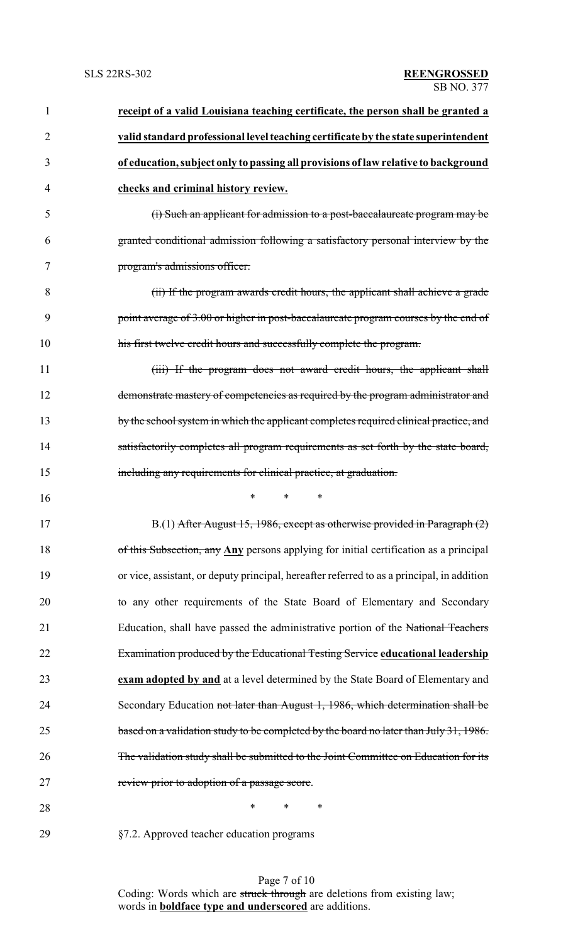| 1              | receipt of a valid Louisiana teaching certificate, the person shall be granted a           |
|----------------|--------------------------------------------------------------------------------------------|
| $\overline{2}$ | valid standard professional level teaching certificate by the state superintendent         |
| 3              | of education, subject only to passing all provisions of law relative to background         |
| 4              | checks and criminal history review.                                                        |
| 5              | (i) Such an applicant for admission to a post-baccalaureate program may be                 |
| 6              | granted conditional admission following a satisfactory personal interview by the           |
| 7              | program's admissions officer.                                                              |
| 8              | (ii) If the program awards credit hours, the applicant shall achieve a grade               |
| 9              | point average of 3.00 or higher in post-baccalaureate program courses by the end of        |
| 10             | his first twelve credit hours and successfully complete the program.                       |
| 11             | (iii) If the program does not award credit hours, the applicant shall                      |
| 12             | demonstrate mastery of competencies as required by the program administrator and           |
| 13             | by the school system in which the applicant completes required clinical practice, and      |
| 14             | satisfactorily completes all program requirements as set forth by the state board,         |
| 15             | including any requirements for clinical practice, at graduation.                           |
| 16             | *<br>$\ast$<br>∗                                                                           |
| 17             | B.(1) After August 15, 1986, except as otherwise provided in Paragraph (2)                 |
| 18             | of this Subsection, any Any persons applying for initial certification as a principal      |
| 19             | or vice, assistant, or deputy principal, hereafter referred to as a principal, in addition |
| 20             | to any other requirements of the State Board of Elementary and Secondary                   |
| 21             | Education, shall have passed the administrative portion of the National Teachers           |
| 22             | Examination produced by the Educational Testing Service educational leadership             |
| 23             | exam adopted by and at a level determined by the State Board of Elementary and             |
| 24             | Secondary Education not later than August 1, 1986, which determination shall be            |
| 25             | based on a validation study to be completed by the board no later than July 31, 1986.      |
| 26             | The validation study shall be submitted to the Joint Committee on Education for its        |
| 27             | review prior to adoption of a passage score.                                               |
| 28             | *<br>∗<br>∗                                                                                |
|                |                                                                                            |

29 §7.2. Approved teacher education programs

Page 7 of 10 Coding: Words which are struck through are deletions from existing law; words in **boldface type and underscored** are additions.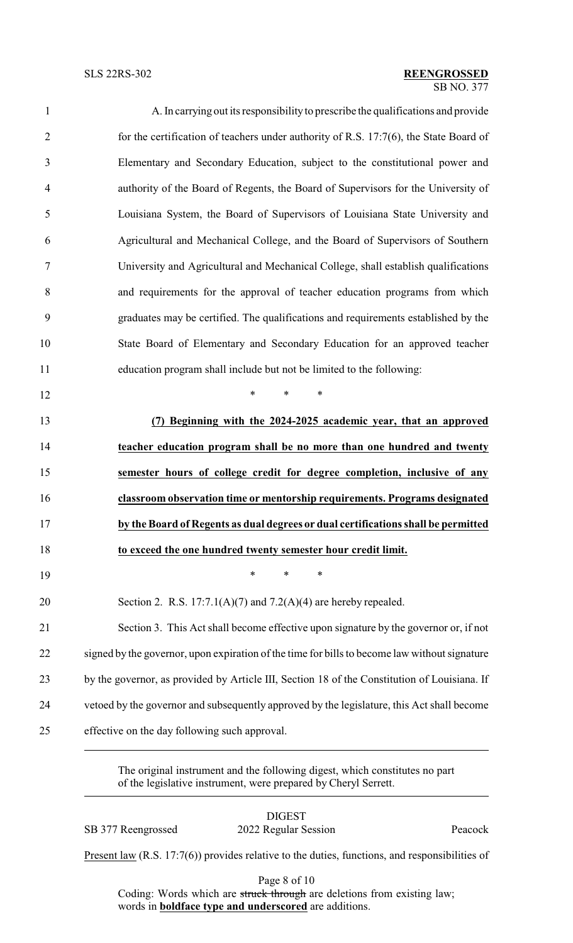### SB NO. 377 SLS 22RS-302 **REENGROSSED**

| $\mathbf{1}$   | A. In carrying out its responsibility to prescribe the qualifications and provide             |
|----------------|-----------------------------------------------------------------------------------------------|
| $\overline{2}$ | for the certification of teachers under authority of R.S. 17:7(6), the State Board of         |
| 3              | Elementary and Secondary Education, subject to the constitutional power and                   |
| 4              | authority of the Board of Regents, the Board of Supervisors for the University of             |
| 5              | Louisiana System, the Board of Supervisors of Louisiana State University and                  |
| 6              | Agricultural and Mechanical College, and the Board of Supervisors of Southern                 |
| 7              | University and Agricultural and Mechanical College, shall establish qualifications            |
| 8              | and requirements for the approval of teacher education programs from which                    |
| 9              | graduates may be certified. The qualifications and requirements established by the            |
| 10             | State Board of Elementary and Secondary Education for an approved teacher                     |
| 11             | education program shall include but not be limited to the following:                          |
| 12             | $\ast$<br>$\ast$<br>$\ast$                                                                    |
| 13             | Beginning with the 2024-2025 academic year, that an approved                                  |
| 14             | teacher education program shall be no more than one hundred and twenty                        |
| 15             | semester hours of college credit for degree completion, inclusive of any                      |
| 16             | classroom observation time or mentorship requirements. Programs designated                    |
| 17             | by the Board of Regents as dual degrees or dual certifications shall be permitted             |
| 18             | to exceed the one hundred twenty semester hour credit limit.                                  |
| 19             | $\ast$<br>∗<br>∗                                                                              |
| 20             | Section 2. R.S. $17:7.1(A)(7)$ and $7.2(A)(4)$ are hereby repealed.                           |
| 21             | Section 3. This Act shall become effective upon signature by the governor or, if not          |
| 22             | signed by the governor, upon expiration of the time for bills to become law without signature |
| 23             | by the governor, as provided by Article III, Section 18 of the Constitution of Louisiana. If  |
| 24             | vetoed by the governor and subsequently approved by the legislature, this Act shall become    |
| 25             | effective on the day following such approval.                                                 |
|                |                                                                                               |

The original instrument and the following digest, which constitutes no part of the legislative instrument, were prepared by Cheryl Serrett.

### DIGEST SB 377 Reengrossed 2022 Regular Session Peacock

Present law (R.S. 17:7(6)) provides relative to the duties, functions, and responsibilities of

Page 8 of 10

Coding: Words which are struck through are deletions from existing law; words in **boldface type and underscored** are additions.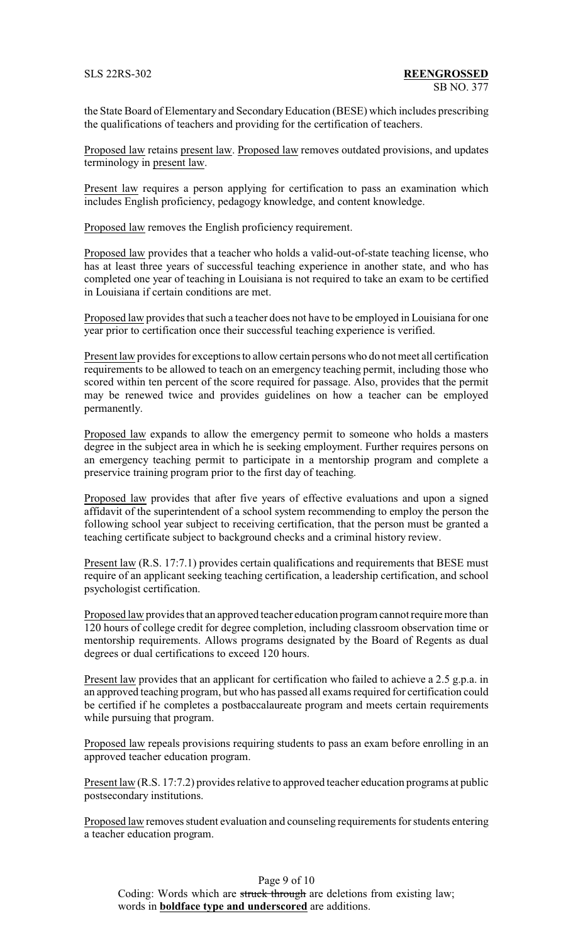the State Board of Elementary and SecondaryEducation (BESE) which includes prescribing the qualifications of teachers and providing for the certification of teachers.

Proposed law retains present law. Proposed law removes outdated provisions, and updates terminology in present law.

Present law requires a person applying for certification to pass an examination which includes English proficiency, pedagogy knowledge, and content knowledge.

Proposed law removes the English proficiency requirement.

Proposed law provides that a teacher who holds a valid-out-of-state teaching license, who has at least three years of successful teaching experience in another state, and who has completed one year of teaching in Louisiana is not required to take an exam to be certified in Louisiana if certain conditions are met.

Proposed law provides that such a teacher does not have to be employed in Louisiana for one year prior to certification once their successful teaching experience is verified.

Present law provides for exceptions to allow certain persons who do not meet all certification requirements to be allowed to teach on an emergency teaching permit, including those who scored within ten percent of the score required for passage. Also, provides that the permit may be renewed twice and provides guidelines on how a teacher can be employed permanently.

Proposed law expands to allow the emergency permit to someone who holds a masters degree in the subject area in which he is seeking employment. Further requires persons on an emergency teaching permit to participate in a mentorship program and complete a preservice training program prior to the first day of teaching.

Proposed law provides that after five years of effective evaluations and upon a signed affidavit of the superintendent of a school system recommending to employ the person the following school year subject to receiving certification, that the person must be granted a teaching certificate subject to background checks and a criminal history review.

Present law (R.S. 17:7.1) provides certain qualifications and requirements that BESE must require of an applicant seeking teaching certification, a leadership certification, and school psychologist certification.

Proposed law provides that an approved teacher education program cannot require more than 120 hours of college credit for degree completion, including classroom observation time or mentorship requirements. Allows programs designated by the Board of Regents as dual degrees or dual certifications to exceed 120 hours.

Present law provides that an applicant for certification who failed to achieve a 2.5 g.p.a. in an approved teaching program, but who has passed all exams required for certification could be certified if he completes a postbaccalaureate program and meets certain requirements while pursuing that program.

Proposed law repeals provisions requiring students to pass an exam before enrolling in an approved teacher education program.

Present law (R.S. 17:7.2) provides relative to approved teacher education programs at public postsecondary institutions.

Proposed law removes student evaluation and counseling requirements for students entering a teacher education program.

Page 9 of 10 Coding: Words which are struck through are deletions from existing law; words in **boldface type and underscored** are additions.